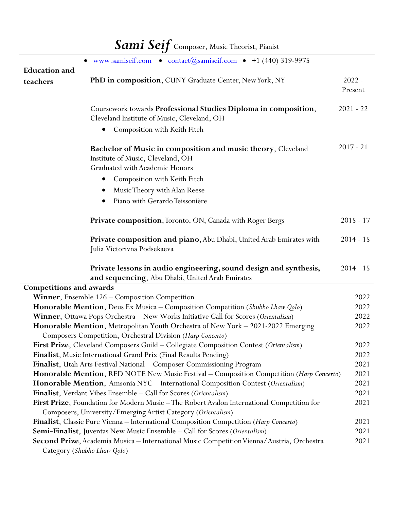| Sami Seif Composer, Music Theorist, Pianist                                        |                                                                                                                                                |                     |
|------------------------------------------------------------------------------------|------------------------------------------------------------------------------------------------------------------------------------------------|---------------------|
|                                                                                    | www.samiseif.com • contact@samiseif.com • +1 (440) 319-9975<br>$\bullet$                                                                       |                     |
| <b>Education</b> and                                                               |                                                                                                                                                |                     |
| teachers                                                                           | PhD in composition, CUNY Graduate Center, New York, NY                                                                                         | $2022 -$<br>Present |
|                                                                                    | Coursework towards Professional Studies Diploma in composition,<br>Cleveland Institute of Music, Cleveland, OH                                 | $2021 - 22$         |
|                                                                                    | Composition with Keith Fitch                                                                                                                   |                     |
|                                                                                    | <b>Bachelor of Music in composition and music theory, Cleveland</b><br>Institute of Music, Cleveland, OH<br>Graduated with Academic Honors     | $2017 - 21$         |
|                                                                                    | Composition with Keith Fitch                                                                                                                   |                     |
|                                                                                    | Music Theory with Alan Reese                                                                                                                   |                     |
|                                                                                    | Piano with Gerardo Teissonière                                                                                                                 |                     |
|                                                                                    | Private composition, Toronto, ON, Canada with Roger Bergs                                                                                      | $2015 - 17$         |
|                                                                                    | Private composition and piano, Abu Dhabi, United Arab Emirates with<br>Julia Victorivna Podsekaeva                                             | $2014 - 15$         |
|                                                                                    | Private lessons in audio engineering, sound design and synthesis,<br>and sequencing, Abu Dhabi, United Arab Emirates                           | $2014 - 15$         |
| <b>Competitions and awards</b>                                                     |                                                                                                                                                |                     |
|                                                                                    | Winner, Ensemble 126 - Composition Competition                                                                                                 | 2022                |
|                                                                                    | Honorable Mention, Deus Ex Musica - Composition Competition (Shubho Lhaw Qolo)                                                                 | 2022                |
|                                                                                    | Winner, Ottawa Pops Orchestra - New Works Initiative Call for Scores (Orientalism)                                                             | 2022                |
|                                                                                    | Honorable Mention, Metropolitan Youth Orchestra of New York - 2021-2022 Emerging<br>Composers Competition, Orchestral Division (Harp Concerto) | 2022                |
|                                                                                    | First Prize, Cleveland Composers Guild - Collegiate Composition Contest (Orientalism)                                                          | 2022                |
|                                                                                    | Finalist, Music International Grand Prix (Final Results Pending)                                                                               | 2022                |
|                                                                                    | Finalist, Utah Arts Festival National - Composer Commissioning Program                                                                         | 2021                |
|                                                                                    | Honorable Mention, RED NOTE New Music Festival - Composition Competition (Harp Concerto)                                                       | 2021                |
|                                                                                    | Honorable Mention, Amsonia NYC - International Composition Contest (Orientalism)                                                               | 2021                |
|                                                                                    | Finalist, Verdant Vibes Ensemble - Call for Scores (Orientalism)                                                                               | 2021                |
|                                                                                    | First Prize, Foundation for Modern Music - The Robert Avalon International Competition for                                                     | 2021                |
|                                                                                    | Composers, University/Emerging Artist Category (Orientalism)                                                                                   |                     |
|                                                                                    | Finalist, Classic Pure Vienna - International Composition Competition (Harp Concerto)                                                          | 2021                |
| <b>Semi-Finalist</b> , Juventas New Music Ensemble - Call for Scores (Orientalism) |                                                                                                                                                |                     |
|                                                                                    | Second Prize, Academia Musica - International Music Competition Vienna/Austria, Orchestra<br>Category (Shubho Lhaw Qolo)                       | 2021                |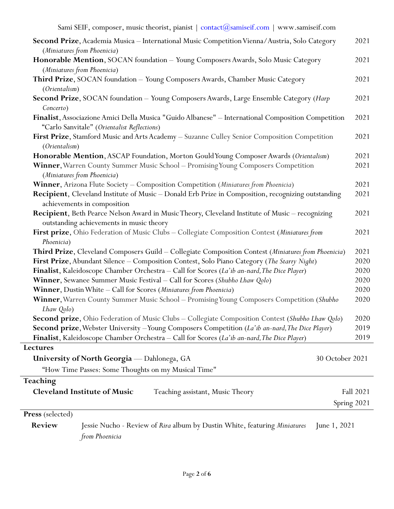Sami SEIF, composer, music theorist, pianist | contact@samiseif.com | www.samiseif.com

| Second Prize, Academia Musica - International Music Competition Vienna/Austria, Solo Category<br>(Miniatures from Phoenicia)                      | 2021        |
|---------------------------------------------------------------------------------------------------------------------------------------------------|-------------|
| Honorable Mention, SOCAN foundation - Young Composers Awards, Solo Music Category                                                                 | 2021        |
| (Miniatures from Phoenicia)                                                                                                                       |             |
| Third Prize, SOCAN foundation - Young Composers Awards, Chamber Music Category                                                                    | 2021        |
| (Orientalism)                                                                                                                                     |             |
| Second Prize, SOCAN foundation - Young Composers Awards, Large Ensemble Category (Harp<br>Concerto)                                               | 2021        |
| Finalist, Associazione Amici Della Musica "Guido Albanese" - International Composition Competition<br>"Carlo Sanvitale" (Orientalist Reflections) | 2021        |
| First Prize, Stamford Music and Arts Academy - Suzanne Culley Senior Composition Competition<br>(Orientalism)                                     | 2021        |
| Honorable Mention, ASCAP Foundation, Morton Gould Young Composer Awards (Orientalism)                                                             | 2021        |
| Winner, Warren County Summer Music School - Promising Young Composers Competition<br>(Miniatures from Phoenicia)                                  | 2021        |
| Winner, Arizona Flute Society - Composition Competition (Miniatures from Phoenicia)                                                               | 2021        |
| Recipient, Cleveland Institute of Music - Donald Erb Prize in Composition, recognizing outstanding<br>achievements in composition                 | 2021        |
| Recipient, Beth Pearce Nelson Award in Music Theory, Cleveland Institute of Music - recognizing<br>outstanding achievements in music theory       | 2021        |
| First prize, Ohio Federation of Music Clubs - Collegiate Composition Contest (Miniatures from<br>Phoenicia)                                       | 2021        |
| Third Prize, Cleveland Composers Guild - Collegiate Composition Contest (Miniatures from Phoenicia)                                               | 2021        |
| First Prize, Abundant Silence - Composition Contest, Solo Piano Category (The Starry Night)                                                       | 2020        |
| Finalist, Kaleidoscope Chamber Orchestra - Call for Scores (La'ib an-nard, The Dice Player)                                                       | 2020        |
| Winner, Sewanee Summer Music Festival - Call for Scores (Shubho Lhaw Qolo)                                                                        | 2020        |
| Winner, Dustin White - Call for Scores (Miniatures from Phoenicia)                                                                                | 2020        |
| Winner, Warren County Summer Music School - Promising Young Composers Competition (Shubho<br>Lhaw Qolo)                                           | 2020        |
| Second prize, Ohio Federation of Music Clubs - Collegiate Composition Contest (Shubho Lhaw Qolo)                                                  | 2020        |
| Second prize, Webster University - Young Composers Competition (La'ib an-nard, The Dice Player)                                                   | 2019        |
| Finalist, Kaleidoscope Chamber Orchestra - Call for Scores (La'ib an-nard, The Dice Player)                                                       | 2019        |
| <b>Lectures</b>                                                                                                                                   |             |
| 30 October 2021<br>University of North Georgia — Dahlonega, GA                                                                                    |             |
| "How Time Passes: Some Thoughts on my Musical Time"                                                                                               |             |
| Teaching                                                                                                                                          |             |
| <b>Cleveland Institute of Music</b><br>Teaching assistant, Music Theory                                                                           | Fall 2021   |
|                                                                                                                                                   | Spring 2021 |
| <b>Press</b> (selected)                                                                                                                           |             |
| Review<br>Jessie Nucho - Review of Rira album by Dustin White, featuring <i>Miniatures</i><br>June 1, 2021                                        |             |
| from Phoenicia                                                                                                                                    |             |

Page **2** of **6**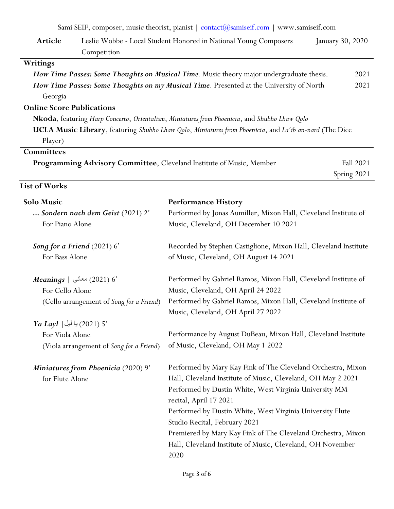Sami SEIF, composer, music theorist, pianist  $\frac{1}{1}$  contact  $\frac{1}{2}$  comiseif.com  $\frac{1}{2}$  www.samiseif.com

|                                                                      | $\sigma$ of the set of the contraction of the contraction of the contraction of the status of the status of the status of the status of the status of the status of the status of the status of the status of the status of the s |                  |
|----------------------------------------------------------------------|-----------------------------------------------------------------------------------------------------------------------------------------------------------------------------------------------------------------------------------|------------------|
| Article                                                              | Leslie Wobbe - Local Student Honored in National Young Composers                                                                                                                                                                  | January 30, 2020 |
|                                                                      | Competition                                                                                                                                                                                                                       |                  |
| Writings                                                             |                                                                                                                                                                                                                                   |                  |
|                                                                      | How Time Passes: Some Thoughts on Musical Time. Music theory major undergraduate thesis.                                                                                                                                          | 2021             |
|                                                                      | How Time Passes: Some Thoughts on my Musical Time. Presented at the University of North                                                                                                                                           | 2021             |
| Georgia                                                              |                                                                                                                                                                                                                                   |                  |
| <b>Online Score Publications</b>                                     |                                                                                                                                                                                                                                   |                  |
|                                                                      | Nkoda, featuring Harp Concerto, Orientalism, Miniatures from Phoenicia, and Shubho Lhaw Qolo                                                                                                                                      |                  |
|                                                                      | UCLA Music Library, featuring Shubho Lhaw Qolo, Miniatures from Phoenicia, and La'ib an-nard (The Dice                                                                                                                            |                  |
| Player)                                                              |                                                                                                                                                                                                                                   |                  |
| Committees                                                           |                                                                                                                                                                                                                                   |                  |
| Programming Advisory Committee, Cleveland Institute of Music, Member |                                                                                                                                                                                                                                   | Fall 2021        |
|                                                                      |                                                                                                                                                                                                                                   | Spring 2021      |
| <b>List of Works</b>                                                 |                                                                                                                                                                                                                                   |                  |

| <b>Solo Music</b><br>Sondern nach dem Geist (2021) 2'<br>For Piano Alone                         | <b>Performance History</b><br>Performed by Jonas Aumiller, Mixon Hall, Cleveland Institute of<br>Music, Cleveland, OH December 10 2021                                                                                                                                                                                                                                                                                                               |
|--------------------------------------------------------------------------------------------------|------------------------------------------------------------------------------------------------------------------------------------------------------------------------------------------------------------------------------------------------------------------------------------------------------------------------------------------------------------------------------------------------------------------------------------------------------|
| Song for a Friend $(2021)$ 6'<br>For Bass Alone                                                  | Recorded by Stephen Castiglione, Mixon Hall, Cleveland Institute<br>of Music, Cleveland, OH August 14 2021                                                                                                                                                                                                                                                                                                                                           |
| $Meanings \mid$ هعاني $(2021)$ 6'<br>For Cello Alone<br>(Cello arrangement of Song for a Friend) | Performed by Gabriel Ramos, Mixon Hall, Cleveland Institute of<br>Music, Cleveland, OH April 24 2022<br>Performed by Gabriel Ramos, Mixon Hall, Cleveland Institute of<br>Music, Cleveland, OH April 27 2022                                                                                                                                                                                                                                         |
| $Ya$ Layl $ $ يا ليل $(2021)$ 5'<br>For Viola Alone<br>(Viola arrangement of Song for a Friend)  | Performance by August DuBeau, Mixon Hall, Cleveland Institute<br>of Music, Cleveland, OH May 1 2022                                                                                                                                                                                                                                                                                                                                                  |
| Miniatures from Phoenicia (2020) 9'<br>for Flute Alone                                           | Performed by Mary Kay Fink of The Cleveland Orchestra, Mixon<br>Hall, Cleveland Institute of Music, Cleveland, OH May 2 2021<br>Performed by Dustin White, West Virginia University MM<br>recital, April 17 2021<br>Performed by Dustin White, West Virginia University Flute<br>Studio Recital, February 2021<br>Premiered by Mary Kay Fink of The Cleveland Orchestra, Mixon<br>Hall, Cleveland Institute of Music, Cleveland, OH November<br>2020 |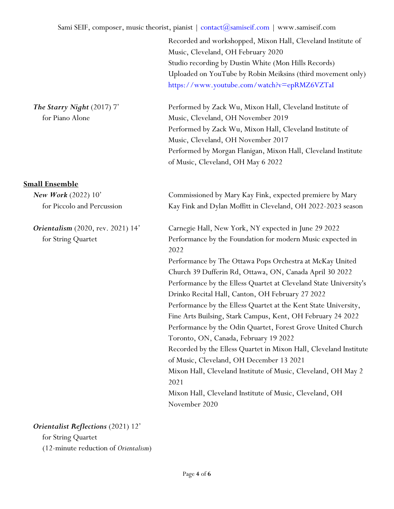Recorded and workshopped, Mixon Hall, Cleveland Institute of Music, Cleveland, OH February 2020 Studio recording by Dustin White (Mon Hills Records) Uploaded on YouTube by Robin Meiksins (third movement only) <https://www.youtube.com/watch?v=epRMZ6VZTaI>

Performed by Zack Wu, Mixon Hall, Cleveland Institute of Music, Cleveland, OH November 2019 Performed by Zack Wu, Mixon Hall, Cleveland Institute of Music, Cleveland, OH November 2017 Performed by Morgan Flanigan, Mixon Hall, Cleveland Institute of Music, Cleveland, OH May 6 2022

## **Small Ensemble**

*The Starry Night* (2017) 7'

for Piano Alone

| New Work $(2022) 10'$                    | Commissioned by Mary Kay Fink, expected premiere by Mary          |
|------------------------------------------|-------------------------------------------------------------------|
| for Piccolo and Percussion               | Kay Fink and Dylan Moffitt in Cleveland, OH 2022-2023 season      |
| <b>Orientalism</b> (2020, rev. 2021) 14' | Carnegie Hall, New York, NY expected in June 29 2022              |
| for String Quartet                       | Performance by the Foundation for modern Music expected in        |
|                                          | 2022                                                              |
|                                          | Performance by The Ottawa Pops Orchestra at McKay United          |
|                                          | Church 39 Dufferin Rd, Ottawa, ON, Canada April 30 2022           |
|                                          | Performance by the Elless Quartet at Cleveland State University's |
|                                          | Drinko Recital Hall, Canton, OH February 27 2022                  |
|                                          | Performance by the Elless Quartet at the Kent State University,   |
|                                          | Fine Arts Builsing, Stark Campus, Kent, OH February 24 2022       |
|                                          | Performance by the Odin Quartet, Forest Grove United Church       |
|                                          | Toronto, ON, Canada, February 19 2022                             |
|                                          | Recorded by the Elless Quartet in Mixon Hall, Cleveland Institute |
|                                          | of Music, Cleveland, OH December 13 2021                          |
|                                          | Mixon Hall, Cleveland Institute of Music, Cleveland, OH May 2     |
|                                          | 2021                                                              |
|                                          | Mixon Hall, Cleveland Institute of Music, Cleveland, OH           |
|                                          | November 2020                                                     |
|                                          |                                                                   |

## *Orientalist Reflections* (2021) 12'

for String Quartet

(12-minute reduction of *Orientalism*)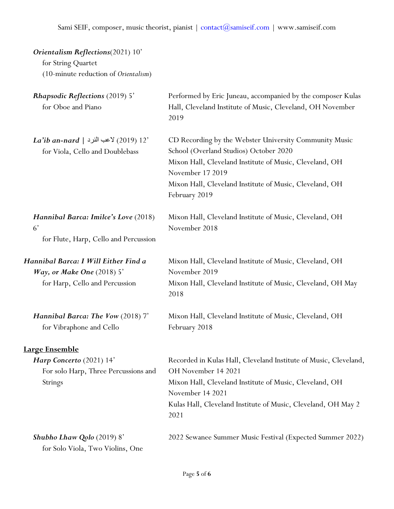| Orientalism Reflections(2021) 10'<br>for String Quartet<br>(10-minute reduction of Orientalism)               |                                                                                                                                                                                                                                                             |
|---------------------------------------------------------------------------------------------------------------|-------------------------------------------------------------------------------------------------------------------------------------------------------------------------------------------------------------------------------------------------------------|
| <b>Rhapsodic Reflections (2019) 5'</b><br>for Oboe and Piano                                                  | Performed by Eric Juneau, accompanied by the composer Kulas<br>Hall, Cleveland Institute of Music, Cleveland, OH November<br>2019                                                                                                                           |
| <i>La'ib an-nard</i>   كاعب النرد   <i>La'ib an-nard</i><br>for Viola, Cello and Doublebass                   | CD Recording by the Webster University Community Music<br>School (Overland Studios) October 2020<br>Mixon Hall, Cleveland Institute of Music, Cleveland, OH<br>November 17 2019<br>Mixon Hall, Cleveland Institute of Music, Cleveland, OH<br>February 2019 |
| Hannibal Barca: Imilce's Love (2018)<br>6'<br>for Flute, Harp, Cello and Percussion                           | Mixon Hall, Cleveland Institute of Music, Cleveland, OH<br>November 2018                                                                                                                                                                                    |
| Hannibal Barca: I Will Either Find a<br><i>Way, or Make One</i> $(2018)$ 5'<br>for Harp, Cello and Percussion | Mixon Hall, Cleveland Institute of Music, Cleveland, OH<br>November 2019<br>Mixon Hall, Cleveland Institute of Music, Cleveland, OH May<br>2018                                                                                                             |
| Hannibal Barca: The Vow (2018) 7'<br>for Vibraphone and Cello                                                 | Mixon Hall, Cleveland Institute of Music, Cleveland, OH<br>February 2018                                                                                                                                                                                    |
| Large Ensemble                                                                                                |                                                                                                                                                                                                                                                             |
| Harp Concerto (2021) 14'<br>For solo Harp, Three Percussions and<br><b>Strings</b>                            | Recorded in Kulas Hall, Cleveland Institute of Music, Cleveland,<br>OH November 14 2021<br>Mixon Hall, Cleveland Institute of Music, Cleveland, OH<br>November 14 2021<br>Kulas Hall, Cleveland Institute of Music, Cleveland, OH May 2<br>2021             |
| Shubho Lhaw Qolo (2019) 8'<br>for Solo Viola, Two Violins, One                                                | 2022 Sewanee Summer Music Festival (Expected Summer 2022)                                                                                                                                                                                                   |